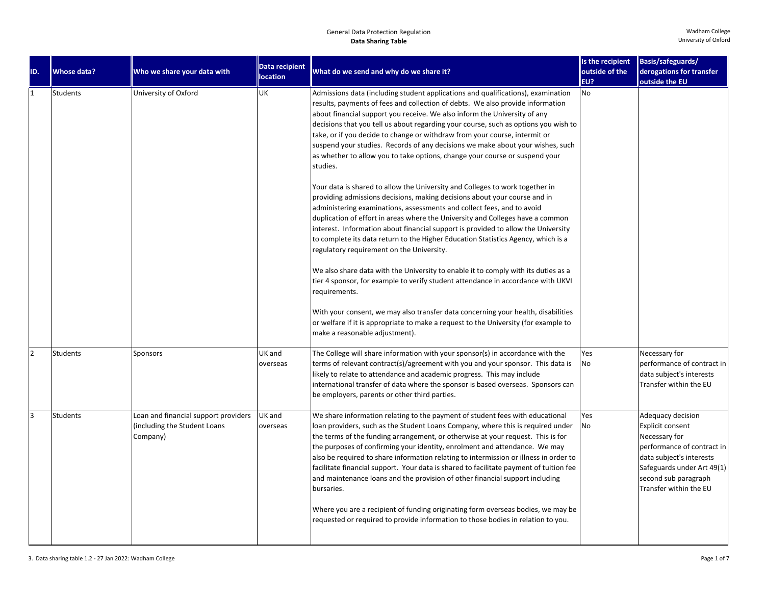| ID.            | <b>Whose data?</b> | Who we share your data with                                                      | Data recipient     | What do we send and why do we share it?                                                                                                                                                                                                                                                                                                                                                                                                                                                                                                                                                                            | Is the recipient<br>outside of the | Basis/safeguards/<br>derogations for transfer                                                                                                                                                    |
|----------------|--------------------|----------------------------------------------------------------------------------|--------------------|--------------------------------------------------------------------------------------------------------------------------------------------------------------------------------------------------------------------------------------------------------------------------------------------------------------------------------------------------------------------------------------------------------------------------------------------------------------------------------------------------------------------------------------------------------------------------------------------------------------------|------------------------------------|--------------------------------------------------------------------------------------------------------------------------------------------------------------------------------------------------|
|                |                    |                                                                                  | location           |                                                                                                                                                                                                                                                                                                                                                                                                                                                                                                                                                                                                                    | EU?                                | outside the EU                                                                                                                                                                                   |
| $\mathbf{1}$   | Students           | University of Oxford                                                             | <b>UK</b>          | Admissions data (including student applications and qualifications), examination<br>results, payments of fees and collection of debts. We also provide information<br>about financial support you receive. We also inform the University of any<br>decisions that you tell us about regarding your course, such as options you wish to<br>take, or if you decide to change or withdraw from your course, intermit or<br>suspend your studies. Records of any decisions we make about your wishes, such<br>as whether to allow you to take options, change your course or suspend your<br>studies.                  | No                                 |                                                                                                                                                                                                  |
|                |                    |                                                                                  |                    | Your data is shared to allow the University and Colleges to work together in<br>providing admissions decisions, making decisions about your course and in<br>administering examinations, assessments and collect fees, and to avoid<br>duplication of effort in areas where the University and Colleges have a common<br>interest. Information about financial support is provided to allow the University<br>to complete its data return to the Higher Education Statistics Agency, which is a<br>regulatory requirement on the University.                                                                       |                                    |                                                                                                                                                                                                  |
|                |                    |                                                                                  |                    | We also share data with the University to enable it to comply with its duties as a<br>tier 4 sponsor, for example to verify student attendance in accordance with UKVI<br>requirements.                                                                                                                                                                                                                                                                                                                                                                                                                            |                                    |                                                                                                                                                                                                  |
|                |                    |                                                                                  |                    | With your consent, we may also transfer data concerning your health, disabilities<br>or welfare if it is appropriate to make a request to the University (for example to<br>make a reasonable adjustment).                                                                                                                                                                                                                                                                                                                                                                                                         |                                    |                                                                                                                                                                                                  |
| $\overline{2}$ | Students           | Sponsors                                                                         | UK and<br>overseas | The College will share information with your sponsor(s) in accordance with the<br>terms of relevant contract(s)/agreement with you and your sponsor. This data is<br>likely to relate to attendance and academic progress. This may include<br>international transfer of data where the sponsor is based overseas. Sponsors can<br>be employers, parents or other third parties.                                                                                                                                                                                                                                   | Yes<br><b>No</b>                   | Necessary for<br>performance of contract in<br>data subject's interests<br>Transfer within the EU                                                                                                |
| $\overline{3}$ | <b>Students</b>    | Loan and financial support providers<br>(including the Student Loans<br>Company) | UK and<br>overseas | We share information relating to the payment of student fees with educational<br>loan providers, such as the Student Loans Company, where this is required under<br>the terms of the funding arrangement, or otherwise at your request. This is for<br>the purposes of confirming your identity, enrolment and attendance. We may<br>also be required to share information relating to intermission or illness in order to<br>facilitate financial support. Your data is shared to facilitate payment of tuition fee<br>and maintenance loans and the provision of other financial support including<br>bursaries. | Yes<br>No                          | Adequacy decision<br>Explicit consent<br>Necessary for<br>performance of contract in<br>data subject's interests<br>Safeguards under Art 49(1)<br>second sub paragraph<br>Transfer within the EU |
|                |                    |                                                                                  |                    | Where you are a recipient of funding originating form overseas bodies, we may be<br>requested or required to provide information to those bodies in relation to you.                                                                                                                                                                                                                                                                                                                                                                                                                                               |                                    |                                                                                                                                                                                                  |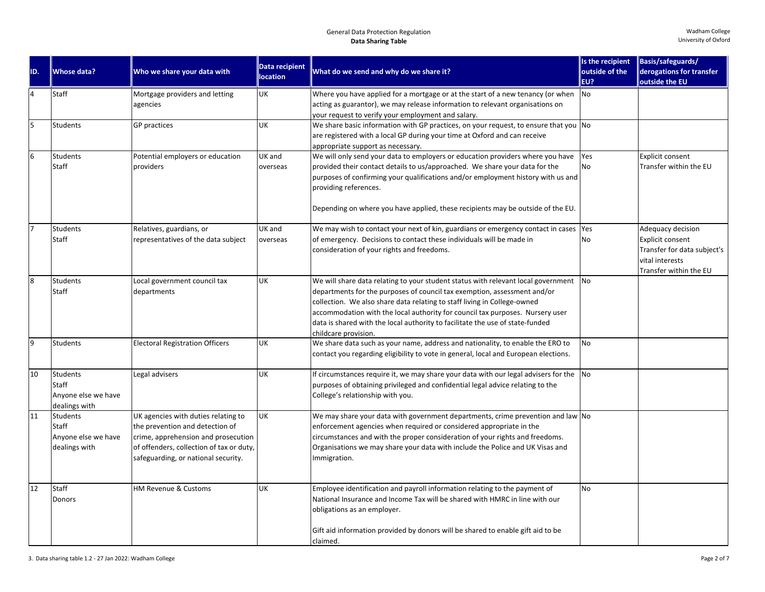| ID.              | Whose data?                                               | Who we share your data with                                                                                                                                                                      | <b>Data recipient</b><br><b>location</b> | What do we send and why do we share it?                                                                                                                                                                                                                                                                                                                                                                                             | Is the recipient<br>outside of the<br>EU? | Basis/safeguards/<br>derogations for transfer<br>outside the EU                                                          |
|------------------|-----------------------------------------------------------|--------------------------------------------------------------------------------------------------------------------------------------------------------------------------------------------------|------------------------------------------|-------------------------------------------------------------------------------------------------------------------------------------------------------------------------------------------------------------------------------------------------------------------------------------------------------------------------------------------------------------------------------------------------------------------------------------|-------------------------------------------|--------------------------------------------------------------------------------------------------------------------------|
| $\overline{4}$   | Staff                                                     | Mortgage providers and letting<br>agencies                                                                                                                                                       | <b>UK</b>                                | Where you have applied for a mortgage or at the start of a new tenancy (or when<br>acting as guarantor), we may release information to relevant organisations on<br>your request to verify your employment and salary.                                                                                                                                                                                                              | No                                        |                                                                                                                          |
| 5                | Students                                                  | <b>GP</b> practices                                                                                                                                                                              | UK                                       | We share basic information with GP practices, on your request, to ensure that you No<br>are registered with a local GP during your time at Oxford and can receive<br>appropriate support as necessary.                                                                                                                                                                                                                              |                                           |                                                                                                                          |
| $6\overline{6}$  | <b>Students</b><br>Staff                                  | Potential employers or education<br>providers                                                                                                                                                    | UK and<br>overseas                       | We will only send your data to employers or education providers where you have<br>provided their contact details to us/approached. We share your data for the<br>purposes of confirming your qualifications and/or employment history with us and<br>providing references.<br>Depending on where you have applied, these recipients may be outside of the EU.                                                                       | Yes<br>No                                 | Explicit consent<br>Transfer within the EU                                                                               |
|                  | <b>Students</b><br>Staff                                  | Relatives, guardians, or<br>representatives of the data subject                                                                                                                                  | UK and<br>overseas                       | We may wish to contact your next of kin, guardians or emergency contact in cases<br>of emergency. Decisions to contact these individuals will be made in<br>consideration of your rights and freedoms.                                                                                                                                                                                                                              | Yes<br>No                                 | Adequacy decision<br><b>Explicit consent</b><br>Transfer for data subject's<br>vital interests<br>Transfer within the EU |
| $\boldsymbol{8}$ | Students<br>Staff                                         | Local government council tax<br>departments                                                                                                                                                      | UK                                       | We will share data relating to your student status with relevant local government<br>departments for the purposes of council tax exemption, assessment and/or<br>collection. We also share data relating to staff living in College-owned<br>accommodation with the local authority for council tax purposes. Nursery user<br>data is shared with the local authority to facilitate the use of state-funded<br>childcare provision. | <b>No</b>                                 |                                                                                                                          |
| $\overline{9}$   | <b>Students</b>                                           | <b>Electoral Registration Officers</b>                                                                                                                                                           | UK                                       | We share data such as your name, address and nationality, to enable the ERO to<br>contact you regarding eligibility to vote in general, local and European elections.                                                                                                                                                                                                                                                               | <b>No</b>                                 |                                                                                                                          |
| 10               | Students<br>Staff<br>Anyone else we have<br>dealings with | Legal advisers                                                                                                                                                                                   | UK                                       | If circumstances require it, we may share your data with our legal advisers for the<br>purposes of obtaining privileged and confidential legal advice relating to the<br>College's relationship with you.                                                                                                                                                                                                                           | N <sub>o</sub>                            |                                                                                                                          |
| 11               | Students<br>Staff<br>Anyone else we have<br>dealings with | UK agencies with duties relating to<br>the prevention and detection of<br>crime, apprehension and prosecution<br>of offenders, collection of tax or duty,<br>safeguarding, or national security. | UK                                       | We may share your data with government departments, crime prevention and law No<br>enforcement agencies when required or considered appropriate in the<br>circumstances and with the proper consideration of your rights and freedoms.<br>Organisations we may share your data with include the Police and UK Visas and<br>Immigration.                                                                                             |                                           |                                                                                                                          |
| 12               | Staff<br>Donors                                           | HM Revenue & Customs                                                                                                                                                                             | <b>UK</b>                                | Employee identification and payroll information relating to the payment of<br>National Insurance and Income Tax will be shared with HMRC in line with our<br>obligations as an employer.<br>Gift aid information provided by donors will be shared to enable gift aid to be<br>claimed.                                                                                                                                             | <b>No</b>                                 |                                                                                                                          |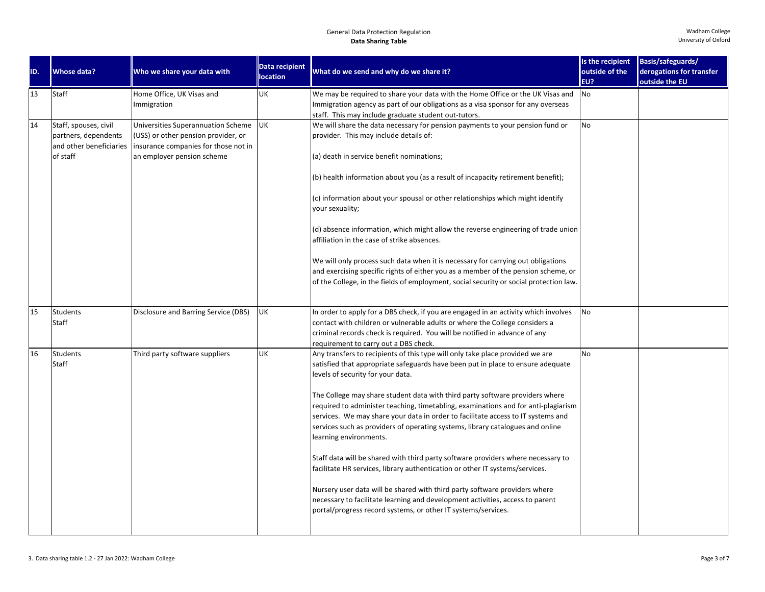|     |                         |                                      | <b>Data recipient</b> |                                                                                        | Is the recipient | Basis/safeguards/        |
|-----|-------------------------|--------------------------------------|-----------------------|----------------------------------------------------------------------------------------|------------------|--------------------------|
| ID. | <b>Whose data?</b>      | Who we share your data with          | <b>location</b>       | What do we send and why do we share it?                                                | outside of the   | derogations for transfer |
|     |                         |                                      |                       |                                                                                        | EU?              | outside the EU           |
| 13  | Staff                   | Home Office, UK Visas and            | UK                    | We may be required to share your data with the Home Office or the UK Visas and         | No               |                          |
|     |                         | Immigration                          |                       | Immigration agency as part of our obligations as a visa sponsor for any overseas       |                  |                          |
|     |                         |                                      |                       | staff. This may include graduate student out-tutors.                                   |                  |                          |
| 14  | Staff, spouses, civil   | Universities Superannuation Scheme   | <b>UK</b>             | We will share the data necessary for pension payments to your pension fund or          | <b>No</b>        |                          |
|     | partners, dependents    | (USS) or other pension provider, or  |                       | provider. This may include details of:                                                 |                  |                          |
|     | and other beneficiaries | insurance companies for those not in |                       |                                                                                        |                  |                          |
|     | of staff                | an employer pension scheme           |                       | (a) death in service benefit nominations;                                              |                  |                          |
|     |                         |                                      |                       |                                                                                        |                  |                          |
|     |                         |                                      |                       | (b) health information about you (as a result of incapacity retirement benefit);       |                  |                          |
|     |                         |                                      |                       |                                                                                        |                  |                          |
|     |                         |                                      |                       | (c) information about your spousal or other relationships which might identify         |                  |                          |
|     |                         |                                      |                       | your sexuality;                                                                        |                  |                          |
|     |                         |                                      |                       |                                                                                        |                  |                          |
|     |                         |                                      |                       | (d) absence information, which might allow the reverse engineering of trade union      |                  |                          |
|     |                         |                                      |                       | affiliation in the case of strike absences.                                            |                  |                          |
|     |                         |                                      |                       |                                                                                        |                  |                          |
|     |                         |                                      |                       | We will only process such data when it is necessary for carrying out obligations       |                  |                          |
|     |                         |                                      |                       | and exercising specific rights of either you as a member of the pension scheme, or     |                  |                          |
|     |                         |                                      |                       | of the College, in the fields of employment, social security or social protection law. |                  |                          |
|     |                         |                                      |                       |                                                                                        |                  |                          |
| 15  | Students                | Disclosure and Barring Service (DBS) | UK                    | In order to apply for a DBS check, if you are engaged in an activity which involves    | No               |                          |
|     | Staff                   |                                      |                       | contact with children or vulnerable adults or where the College considers a            |                  |                          |
|     |                         |                                      |                       | criminal records check is required. You will be notified in advance of any             |                  |                          |
|     |                         |                                      |                       | requirement to carry out a DBS check.                                                  |                  |                          |
| 16  | Students                | Third party software suppliers       | <b>UK</b>             | Any transfers to recipients of this type will only take place provided we are          | <b>No</b>        |                          |
|     | Staff                   |                                      |                       | satisfied that appropriate safeguards have been put in place to ensure adequate        |                  |                          |
|     |                         |                                      |                       | levels of security for your data.                                                      |                  |                          |
|     |                         |                                      |                       |                                                                                        |                  |                          |
|     |                         |                                      |                       | The College may share student data with third party software providers where           |                  |                          |
|     |                         |                                      |                       | required to administer teaching, timetabling, examinations and for anti-plagiarism     |                  |                          |
|     |                         |                                      |                       | services. We may share your data in order to facilitate access to IT systems and       |                  |                          |
|     |                         |                                      |                       | services such as providers of operating systems, library catalogues and online         |                  |                          |
|     |                         |                                      |                       | learning environments.                                                                 |                  |                          |
|     |                         |                                      |                       |                                                                                        |                  |                          |
|     |                         |                                      |                       | Staff data will be shared with third party software providers where necessary to       |                  |                          |
|     |                         |                                      |                       | facilitate HR services, library authentication or other IT systems/services.           |                  |                          |
|     |                         |                                      |                       |                                                                                        |                  |                          |
|     |                         |                                      |                       | Nursery user data will be shared with third party software providers where             |                  |                          |
|     |                         |                                      |                       | necessary to facilitate learning and development activities, access to parent          |                  |                          |
|     |                         |                                      |                       | portal/progress record systems, or other IT systems/services.                          |                  |                          |
|     |                         |                                      |                       |                                                                                        |                  |                          |
|     |                         |                                      |                       |                                                                                        |                  |                          |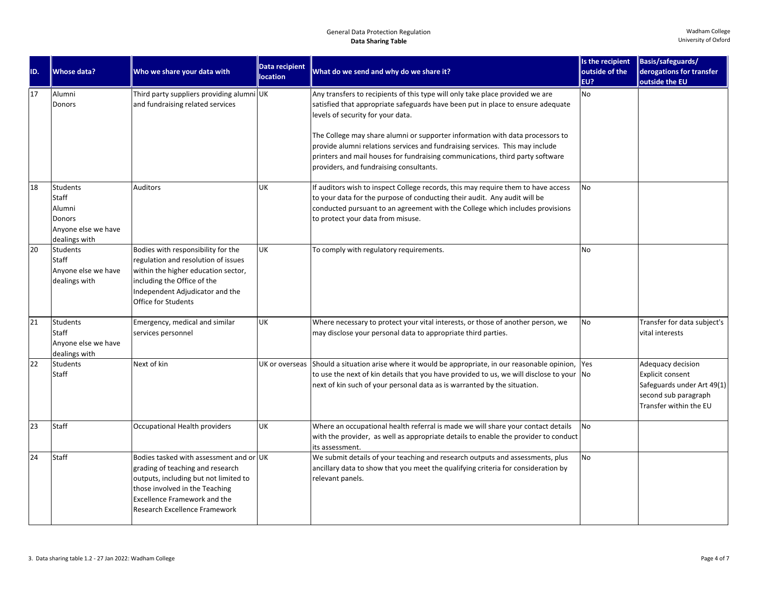| ID. | <b>Whose data?</b>                                                                          | Who we share your data with                                                                                                                                                                                                    | Data recipient<br><b>location</b> | What do we send and why do we share it?                                                                                                                                                                                                                                                                                                                                                                                                                                                            | Is the recipient<br>outside of the<br>EU? | Basis/safeguards/<br>derogations for transfer<br>outside the EU                                                       |
|-----|---------------------------------------------------------------------------------------------|--------------------------------------------------------------------------------------------------------------------------------------------------------------------------------------------------------------------------------|-----------------------------------|----------------------------------------------------------------------------------------------------------------------------------------------------------------------------------------------------------------------------------------------------------------------------------------------------------------------------------------------------------------------------------------------------------------------------------------------------------------------------------------------------|-------------------------------------------|-----------------------------------------------------------------------------------------------------------------------|
| 17  | Alumni<br><b>Donors</b>                                                                     | Third party suppliers providing alumni UK<br>and fundraising related services                                                                                                                                                  |                                   | Any transfers to recipients of this type will only take place provided we are<br>satisfied that appropriate safeguards have been put in place to ensure adequate<br>levels of security for your data.<br>The College may share alumni or supporter information with data processors to<br>provide alumni relations services and fundraising services. This may include<br>printers and mail houses for fundraising communications, third party software<br>providers, and fundraising consultants. | <b>No</b>                                 |                                                                                                                       |
| 18  | <b>Students</b><br>Staff<br>Alumni<br><b>Donors</b><br>Anyone else we have<br>dealings with | Auditors                                                                                                                                                                                                                       | UK                                | If auditors wish to inspect College records, this may require them to have access<br>to your data for the purpose of conducting their audit. Any audit will be<br>conducted pursuant to an agreement with the College which includes provisions<br>to protect your data from misuse.                                                                                                                                                                                                               | <b>No</b>                                 |                                                                                                                       |
| 20  | <b>Students</b><br>Staff<br>Anyone else we have<br>dealings with                            | Bodies with responsibility for the<br>regulation and resolution of issues<br>within the higher education sector,<br>including the Office of the<br>Independent Adjudicator and the<br><b>Office for Students</b>               | UK                                | To comply with regulatory requirements.                                                                                                                                                                                                                                                                                                                                                                                                                                                            | No                                        |                                                                                                                       |
| 21  | <b>Students</b><br>Staff<br>Anyone else we have<br>dealings with                            | Emergency, medical and similar<br>services personnel                                                                                                                                                                           | UK                                | Where necessary to protect your vital interests, or those of another person, we<br>may disclose your personal data to appropriate third parties.                                                                                                                                                                                                                                                                                                                                                   | <b>No</b>                                 | Transfer for data subject's<br>vital interests                                                                        |
| 22  | <b>Students</b><br>Staff                                                                    | Next of kin                                                                                                                                                                                                                    | UK or overseas                    | Should a situation arise where it would be appropriate, in our reasonable opinion, Yes<br>to use the next of kin details that you have provided to us, we will disclose to your $\vert$ No<br>next of kin such of your personal data as is warranted by the situation.                                                                                                                                                                                                                             |                                           | Adequacy decision<br>Explicit consent<br>Safeguards under Art 49(1)<br>second sub paragraph<br>Transfer within the EU |
| 23  | Staff                                                                                       | Occupational Health providers                                                                                                                                                                                                  | UK                                | Where an occupational health referral is made we will share your contact details<br>with the provider, as well as appropriate details to enable the provider to conduct<br>its assessment.                                                                                                                                                                                                                                                                                                         | <b>No</b>                                 |                                                                                                                       |
| 24  | Staff                                                                                       | Bodies tasked with assessment and or UK<br>grading of teaching and research<br>outputs, including but not limited to<br>those involved in the Teaching<br><b>Excellence Framework and the</b><br>Research Excellence Framework |                                   | We submit details of your teaching and research outputs and assessments, plus<br>ancillary data to show that you meet the qualifying criteria for consideration by<br>relevant panels.                                                                                                                                                                                                                                                                                                             | <b>No</b>                                 |                                                                                                                       |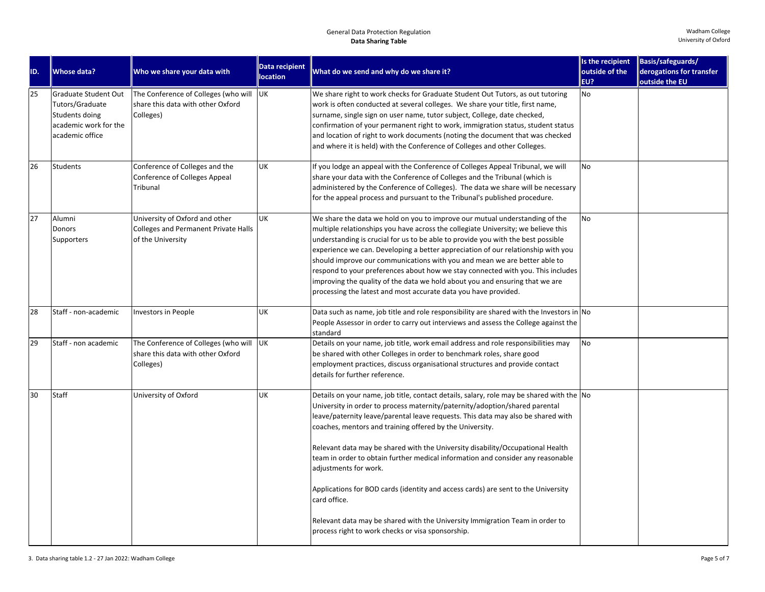| ID. | <b>Whose data?</b>                                                                                    | Who we share your data with                                                                        | <b>Data recipient</b><br><b>location</b> | What do we send and why do we share it?                                                                                                                                                                                                                                                                                                                                                                                                                                                                                                                                                                                                                                                                                                                         | Is the recipient<br>outside of the | Basis/safeguards/<br>derogations for transfer |
|-----|-------------------------------------------------------------------------------------------------------|----------------------------------------------------------------------------------------------------|------------------------------------------|-----------------------------------------------------------------------------------------------------------------------------------------------------------------------------------------------------------------------------------------------------------------------------------------------------------------------------------------------------------------------------------------------------------------------------------------------------------------------------------------------------------------------------------------------------------------------------------------------------------------------------------------------------------------------------------------------------------------------------------------------------------------|------------------------------------|-----------------------------------------------|
| 25  | Graduate Student Out<br>Tutors/Graduate<br>Students doing<br>academic work for the<br>academic office | The Conference of Colleges (who will UK<br>share this data with other Oxford<br>Colleges)          |                                          | We share right to work checks for Graduate Student Out Tutors, as out tutoring<br>work is often conducted at several colleges. We share your title, first name,<br>surname, single sign on user name, tutor subject, College, date checked,<br>confirmation of your permanent right to work, immigration status, student status<br>and location of right to work documents (noting the document that was checked<br>and where it is held) with the Conference of Colleges and other Colleges.                                                                                                                                                                                                                                                                   | EU?<br>No                          | outside the EU                                |
| 26  | <b>Students</b>                                                                                       | Conference of Colleges and the<br>Conference of Colleges Appeal<br>Tribunal                        | UK                                       | If you lodge an appeal with the Conference of Colleges Appeal Tribunal, we will<br>share your data with the Conference of Colleges and the Tribunal (which is<br>administered by the Conference of Colleges). The data we share will be necessary<br>for the appeal process and pursuant to the Tribunal's published procedure.                                                                                                                                                                                                                                                                                                                                                                                                                                 | <b>No</b>                          |                                               |
| 27  | Alumni<br>Donors<br>Supporters                                                                        | University of Oxford and other<br><b>Colleges and Permanent Private Halls</b><br>of the University | <b>UK</b>                                | We share the data we hold on you to improve our mutual understanding of the<br>multiple relationships you have across the collegiate University; we believe this<br>understanding is crucial for us to be able to provide you with the best possible<br>experience we can. Developing a better appreciation of our relationship with you<br>should improve our communications with you and mean we are better able to<br>respond to your preferences about how we stay connected with you. This includes<br>improving the quality of the data we hold about you and ensuring that we are<br>processing the latest and most accurate data you have provided.                                                                                                     | <b>No</b>                          |                                               |
| 28  | Staff - non-academic                                                                                  | <b>Investors in People</b>                                                                         | UK                                       | Data such as name, job title and role responsibility are shared with the Investors in $\vert$ No<br>People Assessor in order to carry out interviews and assess the College against the<br>standard                                                                                                                                                                                                                                                                                                                                                                                                                                                                                                                                                             |                                    |                                               |
| 29  | Staff - non academic                                                                                  | The Conference of Colleges (who will<br>share this data with other Oxford<br>Colleges)             | <b>UK</b>                                | Details on your name, job title, work email address and role responsibilities may<br>be shared with other Colleges in order to benchmark roles, share good<br>employment practices, discuss organisational structures and provide contact<br>details for further reference.                                                                                                                                                                                                                                                                                                                                                                                                                                                                                     | No                                 |                                               |
| 30  | Staff                                                                                                 | University of Oxford                                                                               | UK                                       | Details on your name, job title, contact details, salary, role may be shared with the No<br>University in order to process maternity/paternity/adoption/shared parental<br>leave/paternity leave/parental leave requests. This data may also be shared with<br>coaches, mentors and training offered by the University.<br>Relevant data may be shared with the University disability/Occupational Health<br>team in order to obtain further medical information and consider any reasonable<br>adjustments for work.<br>Applications for BOD cards (identity and access cards) are sent to the University<br>card office.<br>Relevant data may be shared with the University Immigration Team in order to<br>process right to work checks or visa sponsorship. |                                    |                                               |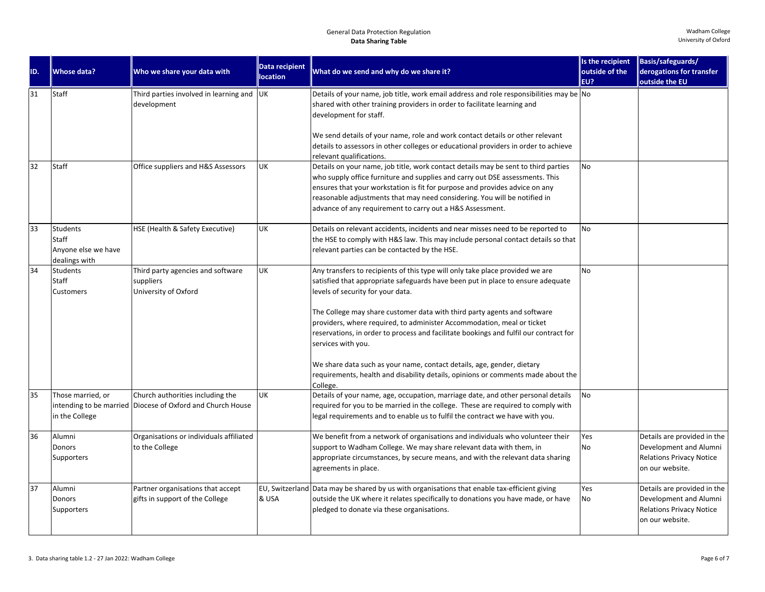| ID. | <b>Whose data?</b>                                                      | Who we share your data with                                                                    | <b>Data recipient</b><br><b>location</b> | What do we send and why do we share it?                                                                                                                                                                                                                                                                                                                                                                                                                                                                                                                                                                                                              | Is the recipient<br>outside of the<br>EU? | Basis/safeguards/<br>derogations for transfer<br>outside the EU                                             |
|-----|-------------------------------------------------------------------------|------------------------------------------------------------------------------------------------|------------------------------------------|------------------------------------------------------------------------------------------------------------------------------------------------------------------------------------------------------------------------------------------------------------------------------------------------------------------------------------------------------------------------------------------------------------------------------------------------------------------------------------------------------------------------------------------------------------------------------------------------------------------------------------------------------|-------------------------------------------|-------------------------------------------------------------------------------------------------------------|
| 31  | <b>Staff</b>                                                            | Third parties involved in learning and UK<br>development                                       |                                          | Details of your name, job title, work email address and role responsibilities may be $\overline{N}$<br>shared with other training providers in order to facilitate learning and<br>development for staff.<br>We send details of your name, role and work contact details or other relevant<br>details to assessors in other colleges or educational providers in order to achieve                                                                                                                                                                                                                                                                    |                                           |                                                                                                             |
| 32  | <b>Staff</b>                                                            | Office suppliers and H&S Assessors                                                             | UK                                       | relevant qualifications.<br>Details on your name, job title, work contact details may be sent to third parties<br>who supply office furniture and supplies and carry out DSE assessments. This<br>ensures that your workstation is fit for purpose and provides advice on any<br>reasonable adjustments that may need considering. You will be notified in<br>advance of any requirement to carry out a H&S Assessment.                                                                                                                                                                                                                              | <b>No</b>                                 |                                                                                                             |
| 33  | <b>Students</b><br><b>Staff</b><br>Anyone else we have<br>dealings with | HSE (Health & Safety Executive)                                                                | UK                                       | Details on relevant accidents, incidents and near misses need to be reported to<br>the HSE to comply with H&S law. This may include personal contact details so that<br>relevant parties can be contacted by the HSE.                                                                                                                                                                                                                                                                                                                                                                                                                                | <b>No</b>                                 |                                                                                                             |
| 34  | <b>Students</b><br><b>Staff</b><br>Customers                            | Third party agencies and software<br>suppliers<br>University of Oxford                         | UK                                       | Any transfers to recipients of this type will only take place provided we are<br>satisfied that appropriate safeguards have been put in place to ensure adequate<br>levels of security for your data.<br>The College may share customer data with third party agents and software<br>providers, where required, to administer Accommodation, meal or ticket<br>reservations, in order to process and facilitate bookings and fulfil our contract for<br>services with you.<br>We share data such as your name, contact details, age, gender, dietary<br>requirements, health and disability details, opinions or comments made about the<br>College. | <b>No</b>                                 |                                                                                                             |
| 35  | Those married, or<br>in the College                                     | Church authorities including the<br>intending to be married Diocese of Oxford and Church House | UK                                       | Details of your name, age, occupation, marriage date, and other personal details<br>required for you to be married in the college. These are required to comply with<br>legal requirements and to enable us to fulfil the contract we have with you.                                                                                                                                                                                                                                                                                                                                                                                                 | No                                        |                                                                                                             |
| 36  | Alumni<br>Donors<br>Supporters                                          | Organisations or individuals affiliated<br>to the College                                      |                                          | We benefit from a network of organisations and individuals who volunteer their<br>support to Wadham College. We may share relevant data with them, in<br>appropriate circumstances, by secure means, and with the relevant data sharing<br>agreements in place.                                                                                                                                                                                                                                                                                                                                                                                      | Yes<br>No                                 | Details are provided in the<br>Development and Alumni<br><b>Relations Privacy Notice</b><br>on our website. |
| 37  | Alumni<br>Donors<br>Supporters                                          | Partner organisations that accept<br>gifts in support of the College                           | & USA                                    | EU, Switzerland Data may be shared by us with organisations that enable tax-efficient giving<br>outside the UK where it relates specifically to donations you have made, or have<br>pledged to donate via these organisations.                                                                                                                                                                                                                                                                                                                                                                                                                       | Yes<br>No                                 | Details are provided in the<br>Development and Alumni<br><b>Relations Privacy Notice</b><br>on our website. |